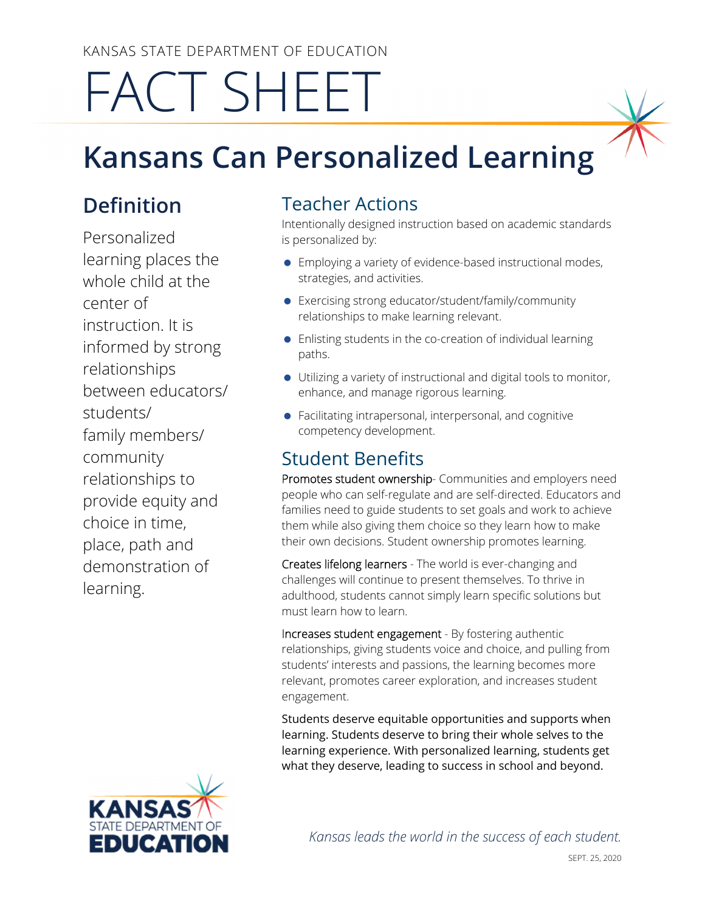KANSAS STATE DEPARTMENT OF EDUCATION

# FACT SHEET

## **Kansans Can Personalized Learning**

### **Definition**

Personalized learning places the whole child at the center of instruction. It is informed by strong relationships between educators/ students/ family members/ community relationships to provide equity and choice in time, place, path and demonstration of learning.

#### Teacher Actions

Intentionally designed instruction based on academic standards is personalized by:

- Employing a variety of evidence-based instructional modes, strategies, and activities.
- Exercising strong educator/student/family/community relationships to make learning relevant.
- Enlisting students in the co-creation of individual learning paths.
- Utilizing a variety of instructional and digital tools to monitor, enhance, and manage rigorous learning.
- Facilitating intrapersonal, interpersonal, and cognitive competency development.

#### Student Benefits

Promotes student ownership- Communities and employers need people who can self-regulate and are self-directed. Educators and families need to guide students to set goals and work to achieve them while also giving them choice so they learn how to make their own decisions. Student ownership promotes learning.

Creates lifelong learners - The world is ever-changing and challenges will continue to present themselves. To thrive in adulthood, students cannot simply learn specific solutions but must learn how to learn.

Increases student engagement - By fostering authentic relationships, giving students voice and choice, and pulling from students' interests and passions, the learning becomes more relevant, promotes career exploration, and increases student engagement.

Students deserve equitable opportunities and supports when learning. Students deserve to bring their whole selves to the learning experience. With personalized learning, students get what they deserve, leading to success in school and beyond.



*Kansas leads the world in the success of each student.*